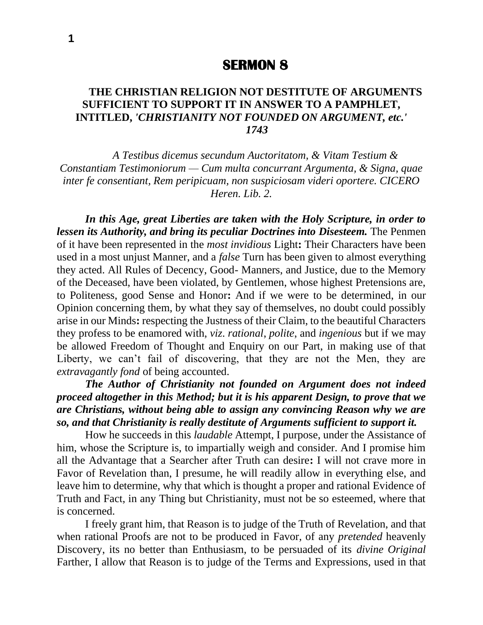## **SERMON 8**

## **THE CHRISTIAN RELIGION NOT DESTITUTE OF ARGUMENTS SUFFICIENT TO SUPPORT IT IN ANSWER TO A PAMPHLET, INTITLED,** *'CHRISTIANITY NOT FOUNDED ON ARGUMENT, etc.' 1743*

*A Testibus dicemus secundum Auctoritatom, & Vitam Testium & Constantiam Testimoniorum — Cum multa concurrant Argumenta, & Signa, quae inter fe consentiant, Rem peripicuam, non suspiciosam videri oportere. CICERO Heren. Lib. 2.*

*In this Age, great Liberties are taken with the Holy Scripture, in order to lessen its Authority, and bring its peculiar Doctrines into Disesteem.* The Penmen of it have been represented in the *most invidious* Light**:** Their Characters have been used in a most unjust Manner, and a *false* Turn has been given to almost everything they acted. All Rules of Decency, Good- Manners, and Justice, due to the Memory of the Deceased, have been violated, by Gentlemen, whose highest Pretensions are, to Politeness, good Sense and Honor**:** And if we were to be determined, in our Opinion concerning them, by what they say of themselves, no doubt could possibly arise in our Minds**:** respecting the Justness of their Claim, to the beautiful Characters they profess to be enamored with, *viz*. *rational*, *polite*, and *ingenious* but if we may be allowed Freedom of Thought and Enquiry on our Part, in making use of that Liberty, we can't fail of discovering, that they are not the Men, they are *extravagantly fond* of being accounted.

*The Author of Christianity not founded on Argument does not indeed proceed altogether in this Method; but it is his apparent Design, to prove that we are Christians, without being able to assign any convincing Reason why we are so, and that Christianity is really destitute of Arguments sufficient to support it.*

How he succeeds in this *laudable* Attempt, I purpose, under the Assistance of him, whose the Scripture is, to impartially weigh and consider. And I promise him all the Advantage that a Searcher after Truth can desire**:** I will not crave more in Favor of Revelation than, I presume, he will readily allow in everything else, and leave him to determine, why that which is thought a proper and rational Evidence of Truth and Fact, in any Thing but Christianity, must not be so esteemed, where that is concerned.

I freely grant him, that Reason is to judge of the Truth of Revelation, and that when rational Proofs are not to be produced in Favor, of any *pretended* heavenly Discovery, its no better than Enthusiasm, to be persuaded of its *divine Original*  Farther, I allow that Reason is to judge of the Terms and Expressions, used in that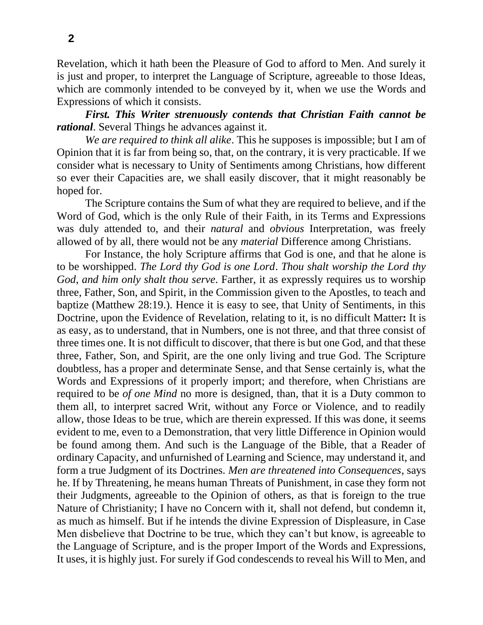Revelation, which it hath been the Pleasure of God to afford to Men. And surely it is just and proper, to interpret the Language of Scripture, agreeable to those Ideas, which are commonly intended to be conveyed by it, when we use the Words and Expressions of which it consists.

*First. This Writer strenuously contends that Christian Faith cannot be rational*. Several Things he advances against it.

*We are required to think all alike*. This he supposes is impossible; but I am of Opinion that it is far from being so, that, on the contrary, it is very practicable. If we consider what is necessary to Unity of Sentiments among Christians, how different so ever their Capacities are, we shall easily discover, that it might reasonably be hoped for.

The Scripture contains the Sum of what they are required to believe, and if the Word of God, which is the only Rule of their Faith, in its Terms and Expressions was duly attended to, and their *natural* and *obvious* Interpretation, was freely allowed of by all, there would not be any *material* Difference among Christians.

For Instance, the holy Scripture affirms that God is one, and that he alone is to be worshipped. *The Lord thy God is one Lord*. *Thou shalt worship the Lord thy God*, *and him only shalt thou serve*. Farther, it as expressly requires us to worship three, Father, Son, and Spirit, in the Commission given to the Apostles, to teach and baptize (Matthew 28:19.). Hence it is easy to see, that Unity of Sentiments, in this Doctrine, upon the Evidence of Revelation, relating to it, is no difficult Matter**:** It is as easy, as to understand, that in Numbers, one is not three, and that three consist of three times one. It is not difficult to discover, that there is but one God, and that these three, Father, Son, and Spirit, are the one only living and true God. The Scripture doubtless, has a proper and determinate Sense, and that Sense certainly is, what the Words and Expressions of it properly import; and therefore, when Christians are required to be *of one Mind* no more is designed, than, that it is a Duty common to them all, to interpret sacred Writ, without any Force or Violence, and to readily allow, those Ideas to be true, which are therein expressed. If this was done, it seems evident to me, even to a Demonstration, that very little Difference in Opinion would be found among them. And such is the Language of the Bible, that a Reader of ordinary Capacity, and unfurnished of Learning and Science, may understand it, and form a true Judgment of its Doctrines. *Men are threatened into Consequences*, says he. If by Threatening, he means human Threats of Punishment, in case they form not their Judgments, agreeable to the Opinion of others, as that is foreign to the true Nature of Christianity; I have no Concern with it, shall not defend, but condemn it, as much as himself. But if he intends the divine Expression of Displeasure, in Case Men disbelieve that Doctrine to be true, which they can't but know, is agreeable to the Language of Scripture, and is the proper Import of the Words and Expressions, It uses, it is highly just. For surely if God condescends to reveal his Will to Men, and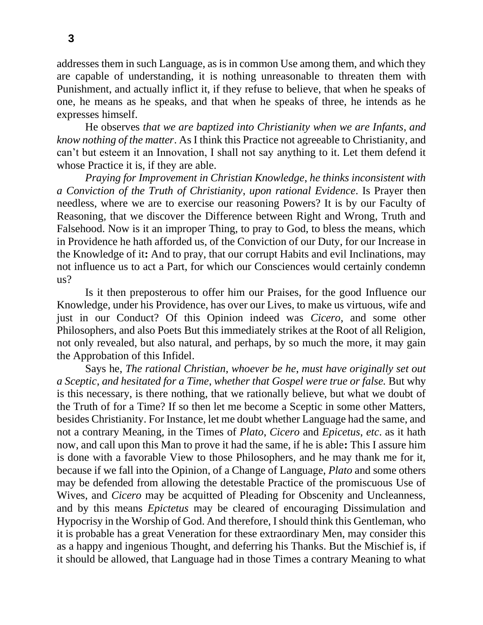addresses them in such Language, as is in common Use among them, and which they are capable of understanding, it is nothing unreasonable to threaten them with Punishment, and actually inflict it, if they refuse to believe, that when he speaks of one, he means as he speaks, and that when he speaks of three, he intends as he expresses himself.

He observes *that we are baptized into Christianity when we are Infants*, *and know nothing of the matter*. As I think this Practice not agreeable to Christianity, and can't but esteem it an Innovation, I shall not say anything to it. Let them defend it whose Practice it is, if they are able.

*Praying for Improvement in Christian Knowledge*, *he thinks inconsistent with a Conviction of the Truth of Christianity*, *upon rational Evidence*. Is Prayer then needless, where we are to exercise our reasoning Powers? It is by our Faculty of Reasoning, that we discover the Difference between Right and Wrong, Truth and Falsehood. Now is it an improper Thing, to pray to God, to bless the means, which in Providence he hath afforded us, of the Conviction of our Duty, for our Increase in the Knowledge of it**:** And to pray, that our corrupt Habits and evil Inclinations, may not influence us to act a Part, for which our Consciences would certainly condemn us?

Is it then preposterous to offer him our Praises, for the good Influence our Knowledge, under his Providence, has over our Lives, to make us virtuous, wife and just in our Conduct? Of this Opinion indeed was *Cicero*, and some other Philosophers, and also Poets But this immediately strikes at the Root of all Religion, not only revealed, but also natural, and perhaps, by so much the more, it may gain the Approbation of this Infidel.

Says he, *The rational Christian*, *whoever be he*, *must have originally set out a Sceptic*, *and hesitated for a Time*, *whether that Gospel were true or false.* But why is this necessary, is there nothing, that we rationally believe, but what we doubt of the Truth of for a Time? If so then let me become a Sceptic in some other Matters, besides Christianity. For Instance, let me doubt whether Language had the same, and not a contrary Meaning, in the Times of *Plato*, *Cicero* and *Epicetus*, *etc*. as it hath now, and call upon this Man to prove it had the same, if he is able**:** This I assure him is done with a favorable View to those Philosophers, and he may thank me for it, because if we fall into the Opinion, of a Change of Language, *Plato* and some others may be defended from allowing the detestable Practice of the promiscuous Use of Wives, and *Cicero* may be acquitted of Pleading for Obscenity and Uncleanness, and by this means *Epictetus* may be cleared of encouraging Dissimulation and Hypocrisy in the Worship of God. And therefore, I should think this Gentleman, who it is probable has a great Veneration for these extraordinary Men, may consider this as a happy and ingenious Thought, and deferring his Thanks. But the Mischief is, if it should be allowed, that Language had in those Times a contrary Meaning to what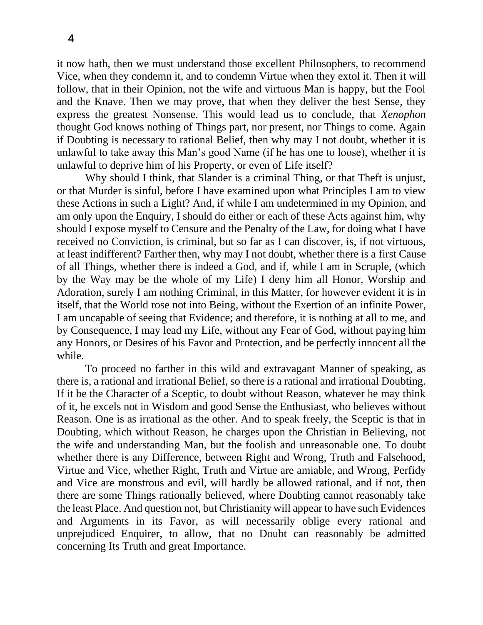it now hath, then we must understand those excellent Philosophers, to recommend Vice, when they condemn it, and to condemn Virtue when they extol it. Then it will follow, that in their Opinion, not the wife and virtuous Man is happy, but the Fool and the Knave. Then we may prove, that when they deliver the best Sense, they express the greatest Nonsense. This would lead us to conclude, that *Xenophon*  thought God knows nothing of Things part, nor present, nor Things to come. Again if Doubting is necessary to rational Belief, then why may I not doubt, whether it is unlawful to take away this Man's good Name (if he has one to loose), whether it is unlawful to deprive him of his Property, or even of Life itself?

Why should I think, that Slander is a criminal Thing, or that Theft is unjust, or that Murder is sinful, before I have examined upon what Principles I am to view these Actions in such a Light? And, if while I am undetermined in my Opinion, and am only upon the Enquiry, I should do either or each of these Acts against him, why should I expose myself to Censure and the Penalty of the Law, for doing what I have received no Conviction, is criminal, but so far as I can discover, is, if not virtuous, at least indifferent? Farther then, why may I not doubt, whether there is a first Cause of all Things, whether there is indeed a God, and if, while I am in Scruple, (which by the Way may be the whole of my Life) I deny him all Honor, Worship and Adoration, surely I am nothing Criminal, in this Matter, for however evident it is in itself, that the World rose not into Being, without the Exertion of an infinite Power, I am uncapable of seeing that Evidence; and therefore, it is nothing at all to me, and by Consequence, I may lead my Life, without any Fear of God, without paying him any Honors, or Desires of his Favor and Protection, and be perfectly innocent all the while.

To proceed no farther in this wild and extravagant Manner of speaking, as there is, a rational and irrational Belief, so there is a rational and irrational Doubting. If it be the Character of a Sceptic, to doubt without Reason, whatever he may think of it, he excels not in Wisdom and good Sense the Enthusiast, who believes without Reason. One is as irrational as the other. And to speak freely, the Sceptic is that in Doubting, which without Reason, he charges upon the Christian in Believing, not the wife and understanding Man, but the foolish and unreasonable one. To doubt whether there is any Difference, between Right and Wrong, Truth and Falsehood, Virtue and Vice, whether Right, Truth and Virtue are amiable, and Wrong, Perfidy and Vice are monstrous and evil, will hardly be allowed rational, and if not, then there are some Things rationally believed, where Doubting cannot reasonably take the least Place. And question not, but Christianity will appear to have such Evidences and Arguments in its Favor, as will necessarily oblige every rational and unprejudiced Enquirer, to allow, that no Doubt can reasonably be admitted concerning Its Truth and great Importance.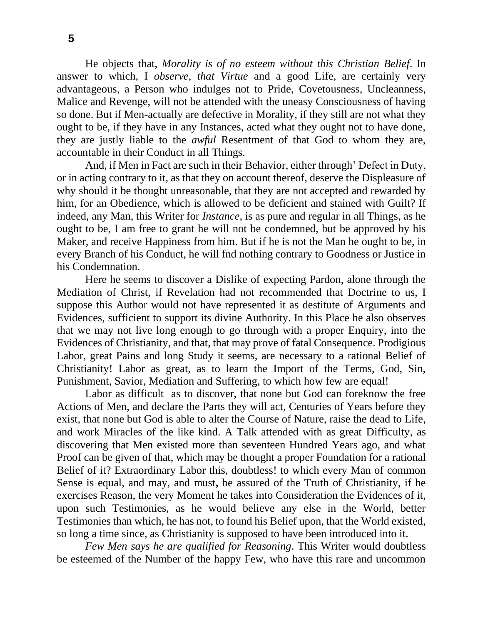He objects that, *Morality is of no esteem without this Christian Belief*. In answer to which, I *observe*, *that Virtue* and a good Life, are certainly very advantageous, a Person who indulges not to Pride, Covetousness, Uncleanness, Malice and Revenge, will not be attended with the uneasy Consciousness of having so done. But if Men-actually are defective in Morality, if they still are not what they ought to be, if they have in any Instances, acted what they ought not to have done, they are justly liable to the *awful* Resentment of that God to whom they are, accountable in their Conduct in all Things.

And, if Men in Fact are such in their Behavior, either through' Defect in Duty, or in acting contrary to it, as that they on account thereof, deserve the Displeasure of why should it be thought unreasonable, that they are not accepted and rewarded by him, for an Obedience, which is allowed to be deficient and stained with Guilt? If indeed, any Man, this Writer for *Instance*, is as pure and regular in all Things, as he ought to be, I am free to grant he will not be condemned, but be approved by his Maker, and receive Happiness from him. But if he is not the Man he ought to be, in every Branch of his Conduct, he will fnd nothing contrary to Goodness or Justice in his Condemnation.

Here he seems to discover a Dislike of expecting Pardon, alone through the Mediation of Christ, if Revelation had not recommended that Doctrine to us, I suppose this Author would not have represented it as destitute of Arguments and Evidences, sufficient to support its divine Authority. In this Place he also observes that we may not live long enough to go through with a proper Enquiry, into the Evidences of Christianity, and that, that may prove of fatal Consequence. Prodigious Labor, great Pains and long Study it seems, are necessary to a rational Belief of Christianity! Labor as great, as to learn the Import of the Terms, God, Sin, Punishment, Savior, Mediation and Suffering, to which how few are equal!

Labor as difficult as to discover, that none but God can foreknow the free Actions of Men, and declare the Parts they will act, Centuries of Years before they exist, that none but God is able to alter the Course of Nature, raise the dead to Life, and work Miracles of the like kind. A Talk attended with as great Difficulty, as discovering that Men existed more than seventeen Hundred Years ago, and what Proof can be given of that, which may be thought a proper Foundation for a rational Belief of it? Extraordinary Labor this, doubtless! to which every Man of common Sense is equal, and may, and must**,** be assured of the Truth of Christianity, if he exercises Reason, the very Moment he takes into Consideration the Evidences of it, upon such Testimonies, as he would believe any else in the World, better Testimonies than which, he has not, to found his Belief upon, that the World existed, so long a time since, as Christianity is supposed to have been introduced into it.

*Few Men says he are qualified for Reasoning*. This Writer would doubtless be esteemed of the Number of the happy Few, who have this rare and uncommon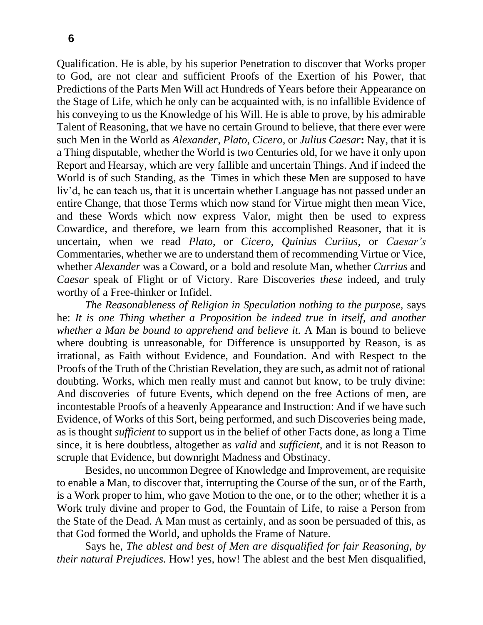Qualification. He is able, by his superior Penetration to discover that Works proper to God, are not clear and sufficient Proofs of the Exertion of his Power, that Predictions of the Parts Men Will act Hundreds of Years before their Appearance on the Stage of Life, which he only can be acquainted with, is no infallible Evidence of his conveying to us the Knowledge of his Will. He is able to prove, by his admirable Talent of Reasoning, that we have no certain Ground to believe, that there ever were such Men in the World as *Alexander*, *Plato*, *Cicero*, or *Julius Caesar***:** Nay, that it is a Thing disputable, whether the World is two Centuries old, for we have it only upon Report and Hearsay, which are very fallible and uncertain Things. And if indeed the World is of such Standing, as the Times in which these Men are supposed to have liv'd, he can teach us, that it is uncertain whether Language has not passed under an entire Change, that those Terms which now stand for Virtue might then mean Vice, and these Words which now express Valor, might then be used to express Cowardice, and therefore, we learn from this accomplished Reasoner, that it is uncertain, when we read *Plato*, or *Cicero, Quinius Curiius*, or *Caesar's*  Commentaries, whether we are to understand them of recommending Virtue or Vice, whether *Alexander* was a Coward, or a bold and resolute Man, whether *Currius* and *Caesar* speak of Flight or of Victory. Rare Discoveries *these* indeed, and truly worthy of a Free-thinker or Infidel.

*The Reasonableness of Religion in Speculation nothing to the purpose,* says he: *It is one Thing whether a Proposition be indeed true in itself, and another whether a Man be bound to apprehend and believe it.* A Man is bound to believe where doubting is unreasonable, for Difference is unsupported by Reason, is as irrational, as Faith without Evidence, and Foundation. And with Respect to the Proofs of the Truth of the Christian Revelation, they are such, as admit not of rational doubting. Works, which men really must and cannot but know, to be truly divine: And discoveries of future Events, which depend on the free Actions of men, are incontestable Proofs of a heavenly Appearance and Instruction: And if we have such Evidence, of Works of this Sort, being performed, and such Discoveries being made, as is thought *sufficient* to support us in the belief of other Facts done, as long a Time since, it is here doubtless, altogether as *valid* and *sufficient*, and it is not Reason to scruple that Evidence, but downright Madness and Obstinacy.

Besides, no uncommon Degree of Knowledge and Improvement, are requisite to enable a Man, to discover that, interrupting the Course of the sun, or of the Earth, is a Work proper to him, who gave Motion to the one, or to the other; whether it is a Work truly divine and proper to God, the Fountain of Life, to raise a Person from the State of the Dead. A Man must as certainly, and as soon be persuaded of this, as that God formed the World, and upholds the Frame of Nature.

Says he, *The ablest and best of Men are disqualified for fair Reasoning, by their natural Prejudices.* How! yes, how! The ablest and the best Men disqualified,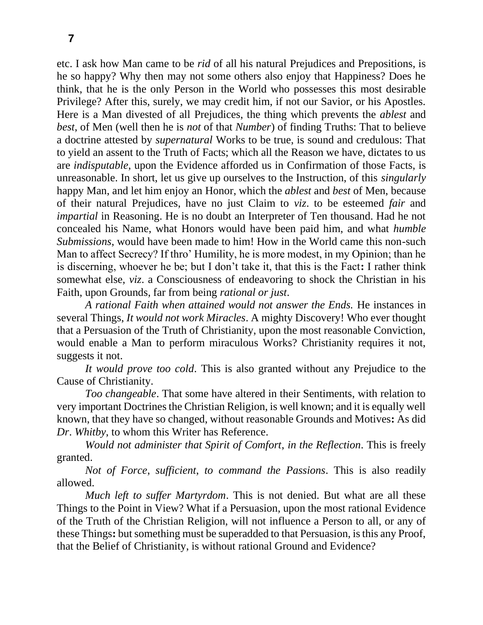etc. I ask how Man came to be *rid* of all his natural Prejudices and Prepositions, is he so happy? Why then may not some others also enjoy that Happiness? Does he think, that he is the only Person in the World who possesses this most desirable Privilege? After this, surely, we may credit him, if not our Savior, or his Apostles. Here is a Man divested of all Prejudices, the thing which prevents the *ablest* and *best*, of Men (well then he is *not* of that *Number*) of finding Truths: That to believe a doctrine attested by *supernatural* Works to be true, is sound and credulous: That to yield an assent to the Truth of Facts; which all the Reason we have, dictates to us are *indisputable*, upon the Evidence afforded us in Confirmation of those Facts, is unreasonable. In short, let us give up ourselves to the Instruction, of this *singularly*  happy Man, and let him enjoy an Honor, which the *ablest* and *best* of Men, because of their natural Prejudices, have no just Claim to *viz*. to be esteemed *fair* and *impartial* in Reasoning. He is no doubt an Interpreter of Ten thousand. Had he not concealed his Name, what Honors would have been paid him, and what *humble Submissions*, would have been made to him! How in the World came this non-such Man to affect Secrecy? If thro' Humility, he is more modest, in my Opinion; than he is discerning, whoever he be; but I don't take it, that this is the Fact**:** I rather think somewhat else, *viz*. a Consciousness of endeavoring to shock the Christian in his Faith, upon Grounds, far from being *rational or just*.

*A rational Faith when attained would not answer the Ends.* He instances in several Things, *It would not work Miracles*. A mighty Discovery! Who ever thought that a Persuasion of the Truth of Christianity, upon the most reasonable Conviction, would enable a Man to perform miraculous Works? Christianity requires it not, suggests it not.

*It would prove too cold*. This is also granted without any Prejudice to the Cause of Christianity.

*Too changeable*. That some have altered in their Sentiments, with relation to very important Doctrines the Christian Religion, is well known; and it is equally well known, that they have so changed, without reasonable Grounds and Motives**:** As did *Dr*. *Whitby*, to whom this Writer has Reference.

*Would not administer that Spirit of Comfort*, *in the Reflection*. This is freely granted.

*Not of Force*, *sufficient*, *to command the Passions*. This is also readily allowed.

*Much left to suffer Martyrdom*. This is not denied. But what are all these Things to the Point in View? What if a Persuasion, upon the most rational Evidence of the Truth of the Christian Religion, will not influence a Person to all, or any of these Things**:** but something must be superadded to that Persuasion, is this any Proof, that the Belief of Christianity, is without rational Ground and Evidence?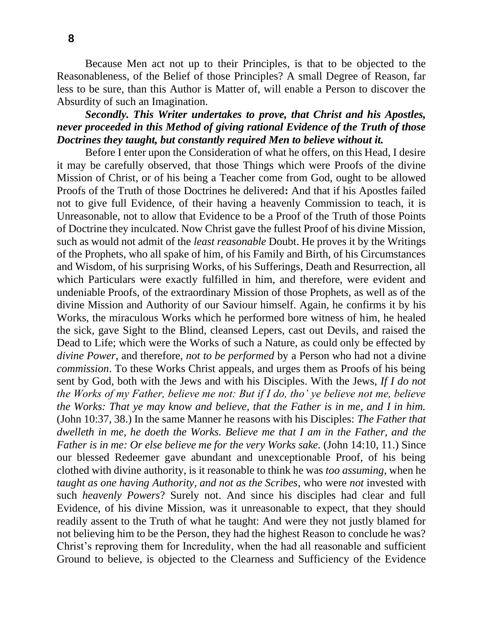Because Men act not up to their Principles, is that to be objected to the Reasonableness, of the Belief of those Principles? A small Degree of Reason, far less to be sure, than this Author is Matter of, will enable a Person to discover the Absurdity of such an Imagination.

## *Secondly. This Writer undertakes to prove, that Christ and his Apostles, never proceeded in this Method of giving rational Evidence of the Truth of those Doctrines they taught, but constantly required Men to believe without it.*

Before I enter upon the Consideration of what he offers, on this Head, I desire it may be carefully observed, that those Things which were Proofs of the divine Mission of Christ, or of his being a Teacher come from God, ought to be allowed Proofs of the Truth of those Doctrines he delivered**:** And that if his Apostles failed not to give full Evidence, of their having a heavenly Commission to teach, it is Unreasonable, not to allow that Evidence to be a Proof of the Truth of those Points of Doctrine they inculcated. Now Christ gave the fullest Proof of his divine Mission, such as would not admit of the *least reasonable* Doubt. He proves it by the Writings of the Prophets, who all spake of him, of his Family and Birth, of his Circumstances and Wisdom, of his surprising Works, of his Sufferings, Death and Resurrection, all which Particulars were exactly fulfilled in him, and therefore, were evident and undeniable Proofs, of the extraordinary Mission of those Prophets, as well as of the divine Mission and Authority of our Saviour himself. Again, he confirms it by his Works, the miraculous Works which he performed bore witness of him, he healed the sick, gave Sight to the Blind, cleansed Lepers, cast out Devils, and raised the Dead to Life; which were the Works of such a Nature, as could only be effected by *divine Power*, and therefore, *not to be performed* by a Person who had not a divine *commission*. To these Works Christ appeals, and urges them as Proofs of his being sent by God, both with the Jews and with his Disciples. With the Jews, *If I do not the Works of my Father, believe me not: But if I do, tho' ye believe not me, believe the Works: That ye may know and believe, that the Father is in me, and I in him.* (John 10:37, 38.) In the same Manner he reasons with his Disciples: *The Father that dwelleth in me, he doeth the Works. Believe me that I am in the Father, and the Father is in me: Or else believe me for the very Works sake.* (John 14:10, 11.) Since our blessed Redeemer gave abundant and unexceptionable Proof, of his being clothed with divine authority, is it reasonable to think he was *too assuming*, when he *taught as one having Authority, and not as the Scribes*, who were *not* invested with such *heavenly Powers*? Surely not. And since his disciples had clear and full Evidence, of his divine Mission, was it unreasonable to expect, that they should readily assent to the Truth of what he taught: And were they not justly blamed for not believing him to be the Person, they had the highest Reason to conclude he was? Christ's reproving them for Incredulity, when the had all reasonable and sufficient Ground to believe, is objected to the Clearness and Sufficiency of the Evidence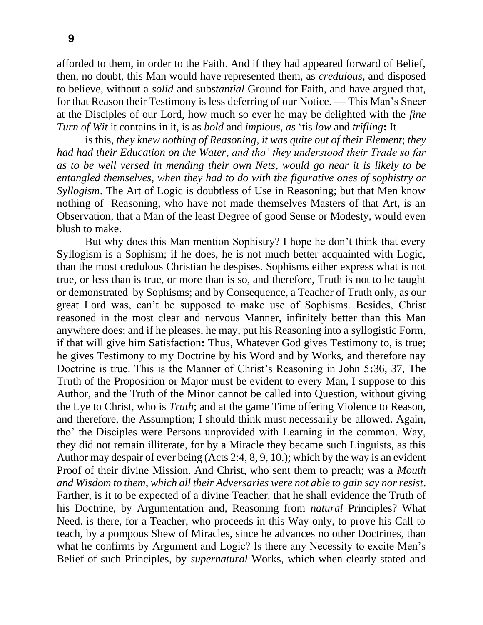afforded to them, in order to the Faith. And if they had appeared forward of Belief, then, no doubt, this Man would have represented them, as *credulous*, and disposed to believe, without a *solid* and sub*stantial* Ground for Faith, and have argued that, for that Reason their Testimony is less deferring of our Notice. — This Man's Sneer at the Disciples of our Lord, how much so ever he may be delighted with the *fine Turn of Wit* it contains in it, is as *bold* and *impious*, *as* 'tis *low* and *trifling***:** It

is this, *they knew nothing of Reasoning*, *it was quite out of their Element*; *they had had their Education on the Water*, *and tho' they understood their Trade so far as to be well versed in mending their own Nets*, *would go near it is likely to be entangled themselves*, *when they had to do with the figurative ones of sophistry or Syllogism*. The Art of Logic is doubtless of Use in Reasoning; but that Men know nothing of Reasoning, who have not made themselves Masters of that Art, is an Observation, that a Man of the least Degree of good Sense or Modesty, would even blush to make.

But why does this Man mention Sophistry? I hope he don't think that every Syllogism is a Sophism; if he does, he is not much better acquainted with Logic, than the most credulous Christian he despises. Sophisms either express what is not true, or less than is true, or more than is so, and therefore, Truth is not to be taught or demonstrated by Sophisms; and by Consequence, a Teacher of Truth only, as our great Lord was, can't be supposed to make use of Sophisms. Besides, Christ reasoned in the most clear and nervous Manner, infinitely better than this Man anywhere does; and if he pleases, he may, put his Reasoning into a syllogistic Form, if that will give him Satisfaction**:** Thus, Whatever God gives Testimony to, is true; he gives Testimony to my Doctrine by his Word and by Works, and therefore nay Doctrine is true. This is the Manner of Christ's Reasoning in John 5**:**36, 37, The Truth of the Proposition or Major must be evident to every Man, I suppose to this Author, and the Truth of the Minor cannot be called into Question, without giving the Lye to Christ, who is *Truth*; and at the game Time offering Violence to Reason, and therefore, the Assumption; I should think must necessarily be allowed. Again, tho' the Disciples were Persons unprovided with Learning in the common. Way, they did not remain illiterate, for by a Miracle they became such Linguists, as this Author may despair of ever being (Acts 2:4, 8, 9, 10.); which by the way is an evident Proof of their divine Mission. And Christ, who sent them to preach; was a *Mouth and Wisdom to them*, *which all their Adversaries were not able to gain say nor resist*. Farther, is it to be expected of a divine Teacher. that he shall evidence the Truth of his Doctrine, by Argumentation and, Reasoning from *natural* Principles? What Need. is there, for a Teacher, who proceeds in this Way only, to prove his Call to teach, by a pompous Shew of Miracles, since he advances no other Doctrines, than what he confirms by Argument and Logic? Is there any Necessity to excite Men's Belief of such Principles, by *supernatural* Works, which when clearly stated and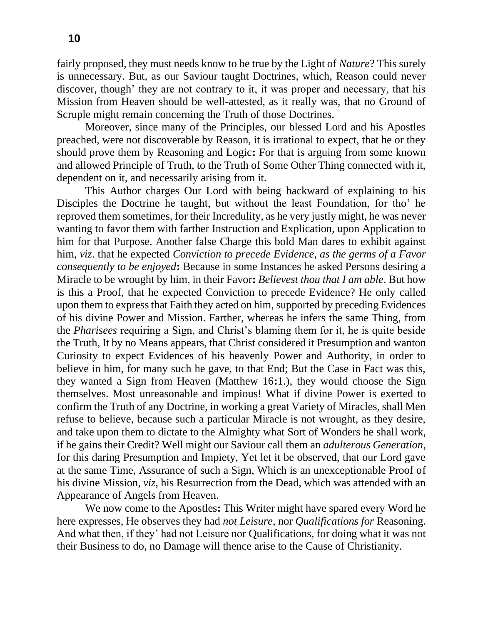fairly proposed, they must needs know to be true by the Light of *Nature*? This surely is unnecessary. But, as our Saviour taught Doctrines, which, Reason could never discover, though' they are not contrary to it, it was proper and necessary, that his Mission from Heaven should be well-attested, as it really was, that no Ground of Scruple might remain concerning the Truth of those Doctrines.

Moreover, since many of the Principles, our blessed Lord and his Apostles preached, were not discoverable by Reason, it is irrational to expect, that he or they should prove them by Reasoning and Logic**:** For that is arguing from some known and allowed Principle of Truth, to the Truth of Some Other Thing connected with it, dependent on it, and necessarily arising from it.

This Author charges Our Lord with being backward of explaining to his Disciples the Doctrine he taught, but without the least Foundation, for tho' he reproved them sometimes, for their Incredulity, as he very justly might, he was never wanting to favor them with farther Instruction and Explication, upon Application to him for that Purpose. Another false Charge this bold Man dares to exhibit against him, *viz*. that he expected *Conviction to precede Evidence*, *as the germs of a Favor consequently to be enjoyed***:** Because in some Instances he asked Persons desiring a Miracle to be wrought by him, in their Favor**:** *Believest thou that I am able*. But how is this a Proof, that he expected Conviction to precede Evidence? He only called upon them to express that Faith they acted on him, supported by preceding Evidences of his divine Power and Mission. Farther, whereas he infers the same Thing, from the *Pharisees* requiring a Sign, and Christ's blaming them for it, he is quite beside the Truth, It by no Means appears, that Christ considered it Presumption and wanton Curiosity to expect Evidences of his heavenly Power and Authority, in order to believe in him, for many such he gave, to that End; But the Case in Fact was this, they wanted a Sign from Heaven (Matthew 16**:**1.), they would choose the Sign themselves. Most unreasonable and impious! What if divine Power is exerted to confirm the Truth of any Doctrine, in working a great Variety of Miracles, shall Men refuse to believe, because such a particular Miracle is not wrought, as they desire, and take upon them to dictate to the Almighty what Sort of Wonders he shall work, if he gains their Credit? Well might our Saviour call them an *adulterous Generation*, for this daring Presumption and Impiety, Yet let it be observed, that our Lord gave at the same Time, Assurance of such a Sign, Which is an unexceptionable Proof of his divine Mission, *viz*, his Resurrection from the Dead, which was attended with an Appearance of Angels from Heaven.

We now come to the Apostles**:** This Writer might have spared every Word he here expresses, He observes they had *not Leisure*, nor *Qualifications for* Reasoning. And what then, if they' had not Leisure nor Qualifications, for doing what it was not their Business to do, no Damage will thence arise to the Cause of Christianity.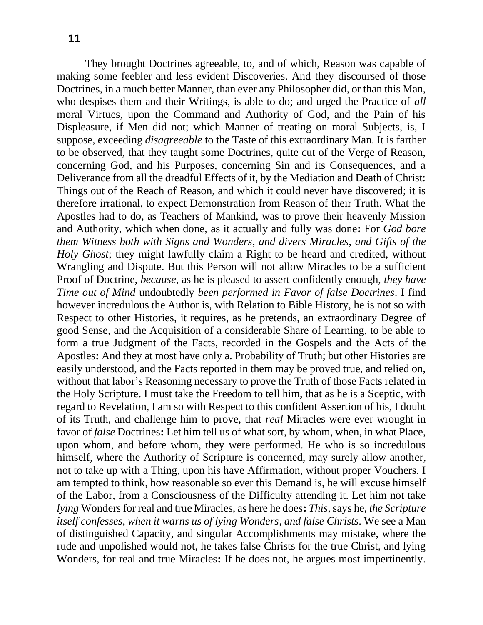They brought Doctrines agreeable, to, and of which, Reason was capable of making some feebler and less evident Discoveries. And they discoursed of those Doctrines, in a much better Manner, than ever any Philosopher did, or than this Man, who despises them and their Writings, is able to do; and urged the Practice of *all*  moral Virtues, upon the Command and Authority of God, and the Pain of his Displeasure, if Men did not; which Manner of treating on moral Subjects, is, I suppose, exceeding *disagreeable* to the Taste of this extraordinary Man. It is farther to be observed, that they taught some Doctrines, quite cut of the Verge of Reason, concerning God, and his Purposes, concerning Sin and its Consequences, and a Deliverance from all the dreadful Effects of it, by the Mediation and Death of Christ: Things out of the Reach of Reason, and which it could never have discovered; it is therefore irrational, to expect Demonstration from Reason of their Truth. What the Apostles had to do, as Teachers of Mankind, was to prove their heavenly Mission and Authority, which when done, as it actually and fully was done**:** For *God bore them Witness both with Signs and Wonders*, *and divers Miracles*, *and Gifts of the Holy Ghost*; they might lawfully claim a Right to be heard and credited, without Wrangling and Dispute. But this Person will not allow Miracles to be a sufficient Proof of Doctrine, *because*, as he is pleased to assert confidently enough, *they have Time out of Mind* undoubtedly *been performed in Favor of false Doctrines*. I find however incredulous the Author is, with Relation to Bible History, he is not so with Respect to other Histories, it requires, as he pretends, an extraordinary Degree of good Sense, and the Acquisition of a considerable Share of Learning, to be able to form a true Judgment of the Facts, recorded in the Gospels and the Acts of the Apostles**:** And they at most have only a. Probability of Truth; but other Histories are easily understood, and the Facts reported in them may be proved true, and relied on, without that labor's Reasoning necessary to prove the Truth of those Facts related in the Holy Scripture. I must take the Freedom to tell him, that as he is a Sceptic, with regard to Revelation, I am so with Respect to this confident Assertion of his, I doubt of its Truth, and challenge him to prove, that *real* Miracles were ever wrought in favor of *false* Doctrines**:** Let him tell us of what sort, by whom, when, in what Place, upon whom, and before whom, they were performed. He who is so incredulous himself, where the Authority of Scripture is concerned, may surely allow another, not to take up with a Thing, upon his have Affirmation, without proper Vouchers. I am tempted to think, how reasonable so ever this Demand is, he will excuse himself of the Labor, from a Consciousness of the Difficulty attending it. Let him not take *lying* Wonders for real and true Miracles, as here he does**:** *This*, says he, *the Scripture itself confesses*, *when it warns us of lying Wonders*, *and false Christs*. We see a Man of distinguished Capacity, and singular Accomplishments may mistake, where the rude and unpolished would not, he takes false Christs for the true Christ, and lying Wonders, for real and true Miracles**:** If he does not, he argues most impertinently.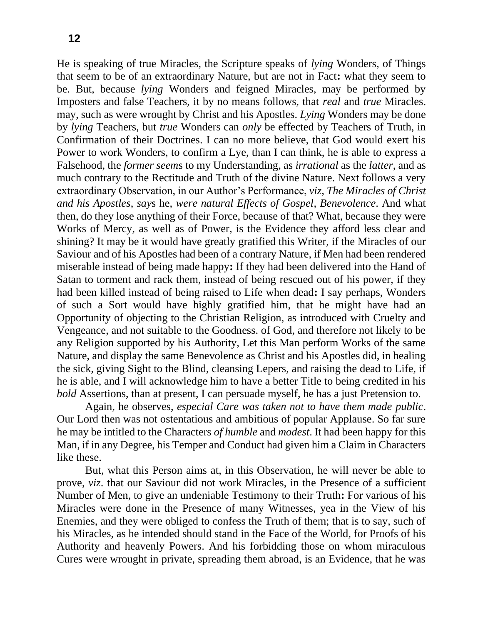He is speaking of true Miracles, the Scripture speaks of *lying* Wonders, of Things that seem to be of an extraordinary Nature, but are not in Fact**:** what they seem to be. But, because *lying* Wonders and feigned Miracles, may be performed by Imposters and false Teachers, it by no means follows, that *real* and *true* Miracles. may, such as were wrought by Christ and his Apostles. *Lying* Wonders may be done by *lying* Teachers, but *true* Wonders can *only* be effected by Teachers of Truth, in Confirmation of their Doctrines. I can no more believe, that God would exert his Power to work Wonders, to confirm a Lye, than I can think, he is able to express a Falsehood, the *former seem*s to my Understanding, as *irrational* as the *latter*, and as much contrary to the Rectitude and Truth of the divine Nature. Next follows a very extraordinary Observation, in our Author's Performance, *viz*, *The Miracles of Christ and his Apostles*, *say*s he, *were natural Effects of Gospel*, *Benevolence*. And what then, do they lose anything of their Force, because of that? What, because they were Works of Mercy, as well as of Power, is the Evidence they afford less clear and shining? It may be it would have greatly gratified this Writer, if the Miracles of our Saviour and of his Apostles had been of a contrary Nature, if Men had been rendered miserable instead of being made happy**:** If they had been delivered into the Hand of Satan to torment and rack them, instead of being rescued out of his power, if they had been killed instead of being raised to Life when dead**:** I say perhaps, Wonders of such a Sort would have highly gratified him, that he might have had an Opportunity of objecting to the Christian Religion, as introduced with Cruelty and Vengeance, and not suitable to the Goodness. of God, and therefore not likely to be any Religion supported by his Authority, Let this Man perform Works of the same Nature, and display the same Benevolence as Christ and his Apostles did, in healing the sick, giving Sight to the Blind, cleansing Lepers, and raising the dead to Life, if he is able, and I will acknowledge him to have a better Title to being credited in his *bold* Assertions, than at present, I can persuade myself, he has a just Pretension to.

Again, he observes, *especial Care was taken not to have them made public*. Our Lord then was not ostentatious and ambitious of popular Applause. So far sure he may be intitled to the Characters *of humble* and *modest*. It had been happy for this Man, if in any Degree, his Temper and Conduct had given him a Claim in Characters like these.

But, what this Person aims at, in this Observation, he will never be able to prove, *viz*. that our Saviour did not work Miracles, in the Presence of a sufficient Number of Men, to give an undeniable Testimony to their Truth**:** For various of his Miracles were done in the Presence of many Witnesses, yea in the View of his Enemies, and they were obliged to confess the Truth of them; that is to say, such of his Miracles, as he intended should stand in the Face of the World, for Proofs of his Authority and heavenly Powers. And his forbidding those on whom miraculous Cures were wrought in private, spreading them abroad, is an Evidence, that he was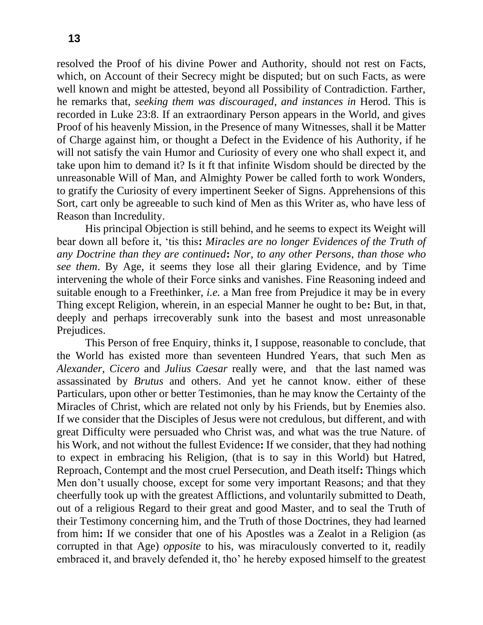resolved the Proof of his divine Power and Authority, should not rest on Facts, which, on Account of their Secrecy might be disputed; but on such Facts, as were well known and might be attested, beyond all Possibility of Contradiction. Farther, he remarks that, *seeking them was discouraged*, *and instances in* Herod. This is recorded in Luke 23:8. If an extraordinary Person appears in the World, and gives Proof of his heavenly Mission, in the Presence of many Witnesses, shall it be Matter of Charge against him, or thought a Defect in the Evidence of his Authority, if he will not satisfy the vain Humor and Curiosity of every one who shall expect it, and take upon him to demand it? Is it ft that infinite Wisdom should be directed by the unreasonable Will of Man, and Almighty Power be called forth to work Wonders, to gratify the Curiosity of every impertinent Seeker of Signs. Apprehensions of this Sort, cart only be agreeable to such kind of Men as this Writer as, who have less of Reason than Incredulity.

His principal Objection is still behind, and he seems to expect its Weight will bear down all before it, 'tis this**:** *Miracles are no longer Evidences of the Truth of any Doctrine than they are continued***:** *Nor*, *to any other Persons*, *than those who see them*. By Age, it seems they lose all their glaring Evidence, and by Time intervening the whole of their Force sinks and vanishes. Fine Reasoning indeed and suitable enough to a Freethinker, *i.e.* a Man free from Prejudice it may be in every Thing except Religion, wherein, in an especial Manner he ought to be**:** But, in that, deeply and perhaps irrecoverably sunk into the basest and most unreasonable Prejudices.

This Person of free Enquiry, thinks it, I suppose, reasonable to conclude, that the World has existed more than seventeen Hundred Years, that such Men as *Alexander*, *Cicero* and *Julius Caesar* really were, and that the last named was assassinated by *Brutus* and others. And yet he cannot know. either of these Particulars, upon other or better Testimonies, than he may know the Certainty of the Miracles of Christ, which are related not only by his Friends, but by Enemies also. If we consider that the Disciples of Jesus were not credulous, but different, and with great Difficulty were persuaded who Christ was, and what was the true Nature. of his Work, and not without the fullest Evidence**:** If we consider, that they had nothing to expect in embracing his Religion, (that is to say in this World) but Hatred, Reproach, Contempt and the most cruel Persecution, and Death itself**:** Things which Men don't usually choose, except for some very important Reasons; and that they cheerfully took up with the greatest Afflictions, and voluntarily submitted to Death, out of a religious Regard to their great and good Master, and to seal the Truth of their Testimony concerning him, and the Truth of those Doctrines, they had learned from him**:** If we consider that one of his Apostles was a Zealot in a Religion (as corrupted in that Age) *opposite* to his, was miraculously converted to it, readily embraced it, and bravely defended it, tho' he hereby exposed himself to the greatest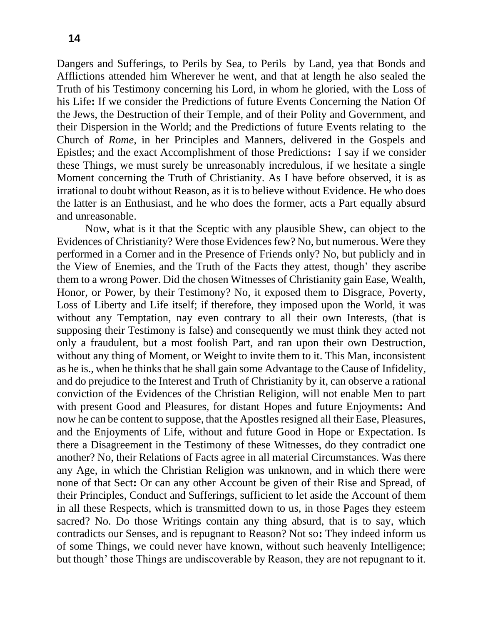Dangers and Sufferings, to Perils by Sea, to Perils by Land, yea that Bonds and Afflictions attended him Wherever he went, and that at length he also sealed the Truth of his Testimony concerning his Lord, in whom he gloried, with the Loss of his Life**:** If we consider the Predictions of future Events Concerning the Nation Of the Jews, the Destruction of their Temple, and of their Polity and Government, and their Dispersion in the World; and the Predictions of future Events relating to the Church of *Rome*, in her Principles and Manners, delivered in the Gospels and Epistles; and the exact Accomplishment of those Predictions**:** I say if we consider these Things, we must surely be unreasonably incredulous, if we hesitate a single Moment concerning the Truth of Christianity. As I have before observed, it is as irrational to doubt without Reason, as it is to believe without Evidence. He who does the latter is an Enthusiast, and he who does the former, acts a Part equally absurd and unreasonable.

Now, what is it that the Sceptic with any plausible Shew, can object to the Evidences of Christianity? Were those Evidences few? No, but numerous. Were they performed in a Corner and in the Presence of Friends only? No, but publicly and in the View of Enemies, and the Truth of the Facts they attest, though' they ascribe them to a wrong Power. Did the chosen Witnesses of Christianity gain Ease, Wealth, Honor, or Power, by their Testimony? No, it exposed them to Disgrace, Poverty, Loss of Liberty and Life itself; if therefore, they imposed upon the World, it was without any Temptation, nay even contrary to all their own Interests, (that is supposing their Testimony is false) and consequently we must think they acted not only a fraudulent, but a most foolish Part, and ran upon their own Destruction, without any thing of Moment, or Weight to invite them to it. This Man, inconsistent as he is., when he thinks that he shall gain some Advantage to the Cause of Infidelity, and do prejudice to the Interest and Truth of Christianity by it, can observe a rational conviction of the Evidences of the Christian Religion, will not enable Men to part with present Good and Pleasures, for distant Hopes and future Enjoyments**:** And now he can be content to suppose, that the Apostles resigned all their Ease, Pleasures, and the Enjoyments of Life, without and future Good in Hope or Expectation. Is there a Disagreement in the Testimony of these Witnesses, do they contradict one another? No, their Relations of Facts agree in all material Circumstances. Was there any Age, in which the Christian Religion was unknown, and in which there were none of that Sect**:** Or can any other Account be given of their Rise and Spread, of their Principles, Conduct and Sufferings, sufficient to let aside the Account of them in all these Respects, which is transmitted down to us, in those Pages they esteem sacred? No. Do those Writings contain any thing absurd, that is to say, which contradicts our Senses, and is repugnant to Reason? Not so**:** They indeed inform us of some Things, we could never have known, without such heavenly Intelligence; but though' those Things are undiscoverable by Reason, they are not repugnant to it.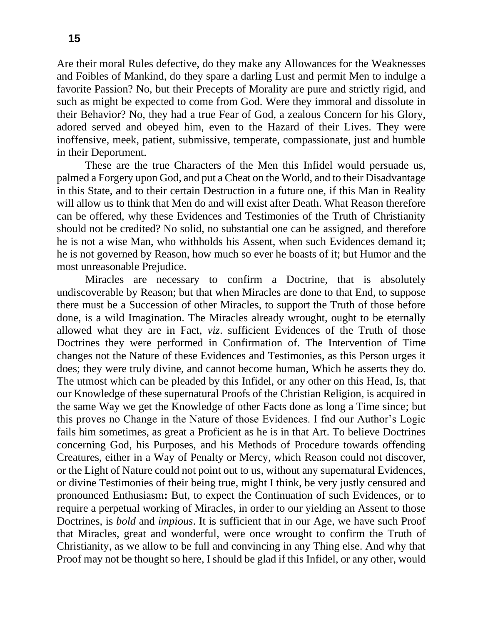Are their moral Rules defective, do they make any Allowances for the Weaknesses and Foibles of Mankind, do they spare a darling Lust and permit Men to indulge a favorite Passion? No, but their Precepts of Morality are pure and strictly rigid, and such as might be expected to come from God. Were they immoral and dissolute in their Behavior? No, they had a true Fear of God, a zealous Concern for his Glory, adored served and obeyed him, even to the Hazard of their Lives. They were inoffensive, meek, patient, submissive, temperate, compassionate, just and humble in their Deportment.

These are the true Characters of the Men this Infidel would persuade us, palmed a Forgery upon God, and put a Cheat on the World, and to their Disadvantage in this State, and to their certain Destruction in a future one, if this Man in Reality will allow us to think that Men do and will exist after Death. What Reason therefore can be offered, why these Evidences and Testimonies of the Truth of Christianity should not be credited? No solid, no substantial one can be assigned, and therefore he is not a wise Man, who withholds his Assent, when such Evidences demand it; he is not governed by Reason, how much so ever he boasts of it; but Humor and the most unreasonable Prejudice.

Miracles are necessary to confirm a Doctrine, that is absolutely undiscoverable by Reason; but that when Miracles are done to that End, to suppose there must be a Succession of other Miracles, to support the Truth of those before done, is a wild Imagination. The Miracles already wrought, ought to be eternally allowed what they are in Fact, *viz*. sufficient Evidences of the Truth of those Doctrines they were performed in Confirmation of. The Intervention of Time changes not the Nature of these Evidences and Testimonies, as this Person urges it does; they were truly divine, and cannot become human, Which he asserts they do. The utmost which can be pleaded by this Infidel, or any other on this Head, Is, that our Knowledge of these supernatural Proofs of the Christian Religion, is acquired in the same Way we get the Knowledge of other Facts done as long a Time since; but this proves no Change in the Nature of those Evidences. I fnd our Author's Logic fails him sometimes, as great a Proficient as he is in that Art. To believe Doctrines concerning God, his Purposes, and his Methods of Procedure towards offending Creatures, either in a Way of Penalty or Mercy, which Reason could not discover, or the Light of Nature could not point out to us, without any supernatural Evidences, or divine Testimonies of their being true, might I think, be very justly censured and pronounced Enthusiasm**:** But, to expect the Continuation of such Evidences, or to require a perpetual working of Miracles, in order to our yielding an Assent to those Doctrines, is *bold* and *impious*. It is sufficient that in our Age, we have such Proof that Miracles, great and wonderful, were once wrought to confirm the Truth of Christianity, as we allow to be full and convincing in any Thing else. And why that Proof may not be thought so here, I should be glad if this Infidel, or any other, would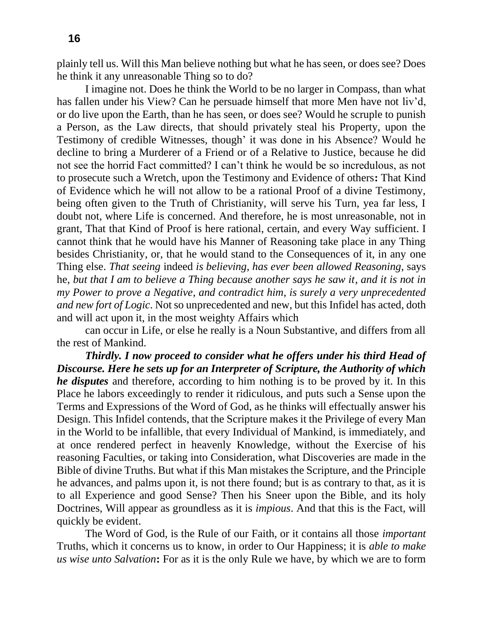plainly tell us. Will this Man believe nothing but what he has seen, or does see? Does he think it any unreasonable Thing so to do?

I imagine not. Does he think the World to be no larger in Compass, than what has fallen under his View? Can he persuade himself that more Men have not liv'd, or do live upon the Earth, than he has seen, or does see? Would he scruple to punish a Person, as the Law directs, that should privately steal his Property, upon the Testimony of credible Witnesses, though' it was done in his Absence? Would he decline to bring a Murderer of a Friend or of a Relative to Justice, because he did not see the horrid Fact committed? I can't think he would be so incredulous, as not to prosecute such a Wretch, upon the Testimony and Evidence of others**:** That Kind of Evidence which he will not allow to be a rational Proof of a divine Testimony, being often given to the Truth of Christianity, will serve his Turn, yea far less, I doubt not, where Life is concerned. And therefore, he is most unreasonable, not in grant, That that Kind of Proof is here rational, certain, and every Way sufficient. I cannot think that he would have his Manner of Reasoning take place in any Thing besides Christianity, or, that he would stand to the Consequences of it, in any one Thing else. *That seeing* indeed *is believing*, *has ever been allowed Reasoning*, says he, *but that I am to believe a Thing because another says he saw it*, *and it is not in my Power to prove a Negative*, *and contradict him*, *is surely a very unprecedented and new fort of Logic*. Not so unprecedented and new, but this Infidel has acted, doth and will act upon it, in the most weighty Affairs which

can occur in Life, or else he really is a Noun Substantive, and differs from all the rest of Mankind.

*Thirdly. I now proceed to consider what he offers under his third Head of Discourse. Here he sets up for an Interpreter of Scripture, the Authority of which he disputes* and therefore, according to him nothing is to be proved by it. In this Place he labors exceedingly to render it ridiculous, and puts such a Sense upon the Terms and Expressions of the Word of God, as he thinks will effectually answer his Design. This Infidel contends, that the Scripture makes it the Privilege of every Man in the World to be infallible, that every Individual of Mankind, is immediately, and at once rendered perfect in heavenly Knowledge, without the Exercise of his reasoning Faculties, or taking into Consideration, what Discoveries are made in the Bible of divine Truths. But what if this Man mistakes the Scripture, and the Principle he advances, and palms upon it, is not there found; but is as contrary to that, as it is to all Experience and good Sense? Then his Sneer upon the Bible, and its holy Doctrines, Will appear as groundless as it is *impious*. And that this is the Fact, will quickly be evident.

The Word of God, is the Rule of our Faith, or it contains all those *important*  Truths, which it concerns us to know, in order to Our Happiness; it is *able to make us wise unto Salvation***:** For as it is the only Rule we have, by which we are to form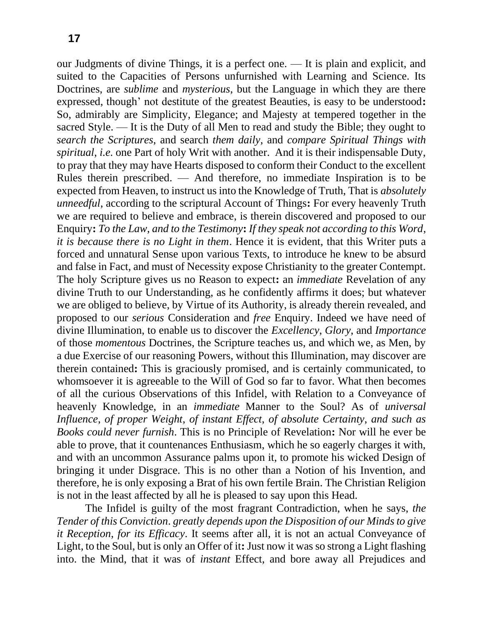our Judgments of divine Things, it is a perfect one. — It is plain and explicit, and suited to the Capacities of Persons unfurnished with Learning and Science. Its Doctrines, are *sublime* and *mysterious*, but the Language in which they are there expressed, though' not destitute of the greatest Beauties, is easy to be understood**:**  So, admirably are Simplicity, Elegance; and Majesty at tempered together in the sacred Style. — It is the Duty of all Men to read and study the Bible; they ought to *search the Scriptures*, and search *them daily*, and *compare Spiritual Things with spiritual*, *i.e.* one Part of holy Writ with another. And it is their indispensable Duty, to pray that they may have Hearts disposed to conform their Conduct to the excellent Rules therein prescribed. — And therefore, no immediate Inspiration is to be expected from Heaven, to instruct us into the Knowledge of Truth, That is *absolutely unneedful*, according to the scriptural Account of Things**:** For every heavenly Truth we are required to believe and embrace, is therein discovered and proposed to our Enquiry**:** *To the Law*, *and to the Testimony***:** *If they speak not according to this Word*, *it is because there is no Light in them*. Hence it is evident, that this Writer puts a forced and unnatural Sense upon various Texts, to introduce he knew to be absurd and false in Fact, and must of Necessity expose Christianity to the greater Contempt. The holy Scripture gives us no Reason to expect**:** an *immediate* Revelation of any divine Truth to our Understanding, as he confidently affirms it does; but whatever we are obliged to believe, by Virtue of its Authority, is already therein revealed, and proposed to our *serious* Consideration and *free* Enquiry. Indeed we have need of divine Illumination, to enable us to discover the *Excellency*, *Glory*, and *Importance*  of those *momentous* Doctrines, the Scripture teaches us, and which we, as Men, by a due Exercise of our reasoning Powers, without this Illumination, may discover are therein contained**:** This is graciously promised, and is certainly communicated, to whomsoever it is agreeable to the Will of God so far to favor. What then becomes of all the curious Observations of this Infidel, with Relation to a Conveyance of heavenly Knowledge, in an *immediate* Manner to the Soul? As of *universal Influence*, *of proper Weight*, *of instant Effect*, *of absolute Certainty*, *and such as Books could never furnish*. This is no Principle of Revelation**:** Nor will he ever be able to prove, that it countenances Enthusiasm, which he so eagerly charges it with, and with an uncommon Assurance palms upon it, to promote his wicked Design of bringing it under Disgrace. This is no other than a Notion of his Invention, and therefore, he is only exposing a Brat of his own fertile Brain. The Christian Religion is not in the least affected by all he is pleased to say upon this Head.

The Infidel is guilty of the most fragrant Contradiction, when he says, *the Tender of this Conviction*. *greatly depends upon the Disposition of our Minds to give it Reception*, *for its Efficacy*. It seems after all, it is not an actual Conveyance of Light, to the Soul, but is only an Offer of it**:** Just now it was so strong a Light flashing into. the Mind, that it was of *instant* Effect, and bore away all Prejudices and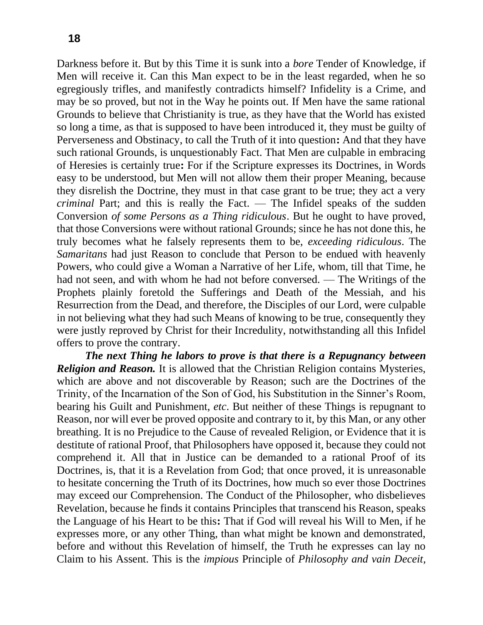Darkness before it. But by this Time it is sunk into a *bore* Tender of Knowledge, if Men will receive it. Can this Man expect to be in the least regarded, when he so egregiously trifles, and manifestly contradicts himself? Infidelity is a Crime, and may be so proved, but not in the Way he points out. If Men have the same rational Grounds to believe that Christianity is true, as they have that the World has existed so long a time, as that is supposed to have been introduced it, they must be guilty of Perverseness and Obstinacy, to call the Truth of it into question**:** And that they have such rational Grounds, is unquestionably Fact. That Men are culpable in embracing of Heresies is certainly true**:** For if the Scripture expresses its Doctrines, in Words easy to be understood, but Men will not allow them their proper Meaning, because they disrelish the Doctrine, they must in that case grant to be true; they act a very *criminal* Part; and this is really the Fact. — The Infidel speaks of the sudden Conversion *of some Persons as a Thing ridiculous*. But he ought to have proved, that those Conversions were without rational Grounds; since he has not done this, he truly becomes what he falsely represents them to be, *exceeding ridiculous*. The *Samaritans* had just Reason to conclude that Person to be endued with heavenly Powers, who could give a Woman a Narrative of her Life, whom, till that Time, he had not seen, and with whom he had not before conversed. — The Writings of the Prophets plainly foretold the Sufferings and Death of the Messiah, and his Resurrection from the Dead, and therefore, the Disciples of our Lord, were culpable in not believing what they had such Means of knowing to be true, consequently they were justly reproved by Christ for their Incredulity, notwithstanding all this Infidel offers to prove the contrary.

*The next Thing he labors to prove is that there is a Repugnancy between Religion and Reason.* It is allowed that the Christian Religion contains Mysteries, which are above and not discoverable by Reason; such are the Doctrines of the Trinity, of the Incarnation of the Son of God, his Substitution in the Sinner's Room, bearing his Guilt and Punishment, *etc*. But neither of these Things is repugnant to Reason, nor will ever be proved opposite and contrary to it, by this Man, or any other breathing. It is no Prejudice to the Cause of revealed Religion, or Evidence that it is destitute of rational Proof, that Philosophers have opposed it, because they could not comprehend it. All that in Justice can be demanded to a rational Proof of its Doctrines, is, that it is a Revelation from God; that once proved, it is unreasonable to hesitate concerning the Truth of its Doctrines, how much so ever those Doctrines may exceed our Comprehension. The Conduct of the Philosopher, who disbelieves Revelation, because he finds it contains Principles that transcend his Reason, speaks the Language of his Heart to be this**:** That if God will reveal his Will to Men, if he expresses more, or any other Thing, than what might be known and demonstrated, before and without this Revelation of himself, the Truth he expresses can lay no Claim to his Assent. This is the *impious* Principle of *Philosophy and vain Deceit*,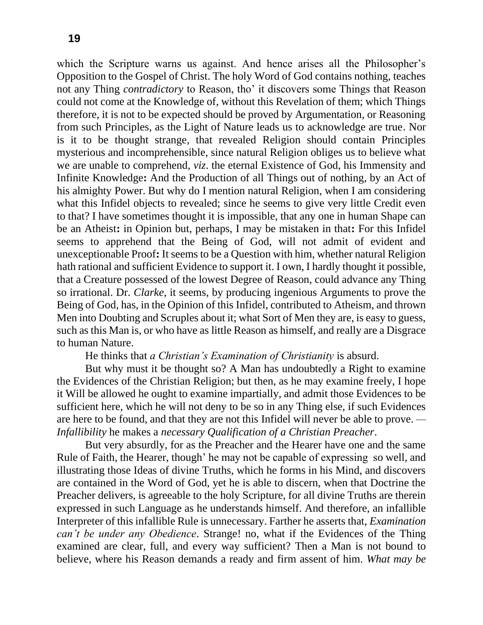which the Scripture warns us against. And hence arises all the Philosopher's Opposition to the Gospel of Christ. The holy Word of God contains nothing, teaches not any Thing *contradictory* to Reason, tho' it discovers some Things that Reason could not come at the Knowledge of, without this Revelation of them; which Things therefore, it is not to be expected should be proved by Argumentation, or Reasoning from such Principles, as the Light of Nature leads us to acknowledge are true. Nor is it to be thought strange, that revealed Religion should contain Principles mysterious and incomprehensible, since natural Religion obliges us to believe what we are unable to comprehend, *viz*. the eternal Existence of God, his Immensity and Infinite Knowledge**:** And the Production of all Things out of nothing, by an Act of his almighty Power. But why do I mention natural Religion, when I am considering what this Infidel objects to revealed; since he seems to give very little Credit even to that? I have sometimes thought it is impossible, that any one in human Shape can be an Atheist**:** in Opinion but, perhaps, I may be mistaken in that**:** For this Infidel seems to apprehend that the Being of God, will not admit of evident and unexceptionable Proof**:** It seems to be a Question with him, whether natural Religion hath rational and sufficient Evidence to support it. I own, I hardly thought it possible, that a Creature possessed of the lowest Degree of Reason, could advance any Thing so irrational. Dr. *Clarke*, it seems, by producing ingenious Arguments to prove the Being of God, has, in the Opinion of this Infidel, contributed to Atheism, and thrown Men into Doubting and Scruples about it; what Sort of Men they are, is easy to guess, such as this Man is, or who have as little Reason as himself, and really are a Disgrace to human Nature.

He thinks that *a Christian's Examination of Christianity* is absurd.

But why must it be thought so? A Man has undoubtedly a Right to examine the Evidences of the Christian Religion; but then, as he may examine freely, I hope it Will be allowed he ought to examine impartially, and admit those Evidences to be sufficient here, which he will not deny to be so in any Thing else, if such Evidences are here to be found, and that they are not this Infidel will never be able to prove. *— Infallibility* he makes a *necessary Qualification of a Christian Preacher*.

But very absurdly, for as the Preacher and the Hearer have one and the same Rule of Faith, the Hearer, though' he may not be capable of expressing so well, and illustrating those Ideas of divine Truths, which he forms in his Mind, and discovers are contained in the Word of God, yet he is able to discern, when that Doctrine the Preacher delivers, is agreeable to the holy Scripture, for all divine Truths are therein expressed in such Language as he understands himself. And therefore, an infallible Interpreter of this infallible Rule is unnecessary. Farther he asserts that, *Examination can't be under any Obedience*. Strange! no, what if the Evidences of the Thing examined are clear, full, and every way sufficient? Then a Man is not bound to believe, where his Reason demands a ready and firm assent of him. *What may be*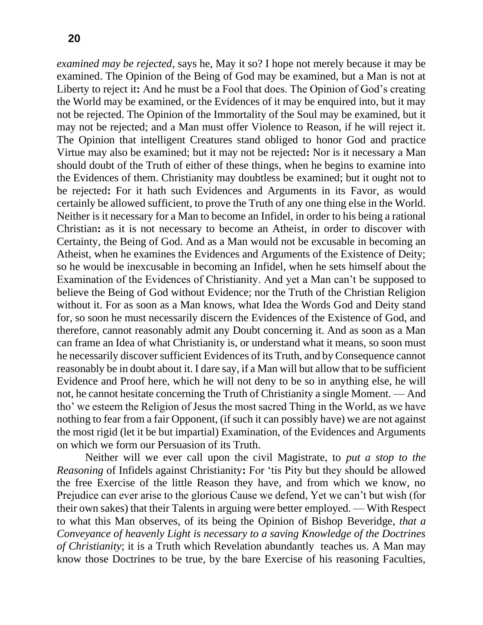*examined may be rejected*, says he, May it so? I hope not merely because it may be examined. The Opinion of the Being of God may be examined, but a Man is not at Liberty to reject it**:** And he must be a Fool that does. The Opinion of God's creating the World may be examined, or the Evidences of it may be enquired into, but it may not be rejected. The Opinion of the Immortality of the Soul may be examined, but it may not be rejected; and a Man must offer Violence to Reason, if he will reject it. The Opinion that intelligent Creatures stand obliged to honor God and practice Virtue may also be examined; but it may not be rejected**:** Nor is it necessary a Man should doubt of the Truth of either of these things, when he begins to examine into the Evidences of them. Christianity may doubtless be examined; but it ought not to be rejected**:** For it hath such Evidences and Arguments in its Favor, as would certainly be allowed sufficient, to prove the Truth of any one thing else in the World. Neither is it necessary for a Man to become an Infidel, in order to his being a rational Christian**:** as it is not necessary to become an Atheist, in order to discover with Certainty, the Being of God. And as a Man would not be excusable in becoming an Atheist, when he examines the Evidences and Arguments of the Existence of Deity; so he would be inexcusable in becoming an Infidel, when he sets himself about the Examination of the Evidences of Christianity. And yet a Man can't be supposed to believe the Being of God without Evidence; nor the Truth of the Christian Religion without it. For as soon as a Man knows, what Idea the Words God and Deity stand for, so soon he must necessarily discern the Evidences of the Existence of God, and therefore, cannot reasonably admit any Doubt concerning it. And as soon as a Man can frame an Idea of what Christianity is, or understand what it means, so soon must he necessarily discover sufficient Evidences of its Truth, and by Consequence cannot reasonably be in doubt about it. I dare say, if a Man will but allow that to be sufficient Evidence and Proof here, which he will not deny to be so in anything else, he will not, he cannot hesitate concerning the Truth of Christianity a single Moment. — And tho' we esteem the Religion of Jesus the most sacred Thing in the World, as we have nothing to fear from a fair Opponent, (if such it can possibly have) we are not against the most rigid (let it be but impartial) Examination, of the Evidences and Arguments on which we form our Persuasion of its Truth.

Neither will we ever call upon the civil Magistrate, to *put a stop to the Reasoning* of Infidels against Christianity**:** For 'tis Pity but they should be allowed the free Exercise of the little Reason they have, and from which we know, no Prejudice can ever arise to the glorious Cause we defend, Yet we can't but wish (for their own sakes) that their Talents in arguing were better employed. — With Respect to what this Man observes, of its being the Opinion of Bishop Beveridge, *that a Conveyance of heavenly Light is necessary to a saving Knowledge of the Doctrines of Christianity*; it is a Truth which Revelation abundantly teaches us. A Man may know those Doctrines to be true, by the bare Exercise of his reasoning Faculties,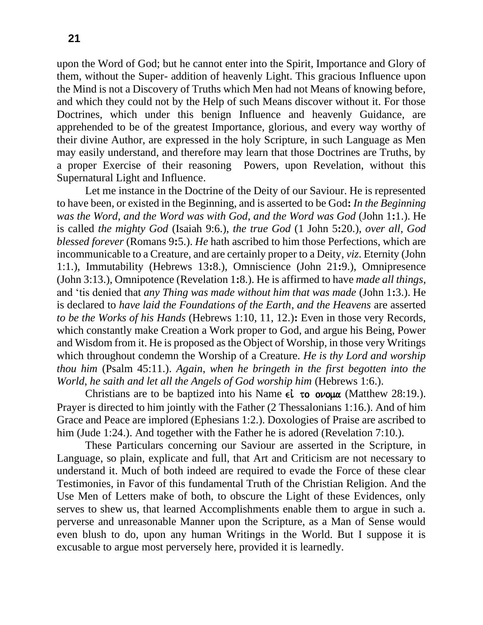upon the Word of God; but he cannot enter into the Spirit, Importance and Glory of them, without the Super- addition of heavenly Light. This gracious Influence upon the Mind is not a Discovery of Truths which Men had not Means of knowing before, and which they could not by the Help of such Means discover without it. For those Doctrines, which under this benign Influence and heavenly Guidance, are apprehended to be of the greatest Importance, glorious, and every way worthy of their divine Author, are expressed in the holy Scripture, in such Language as Men may easily understand, and therefore may learn that those Doctrines are Truths, by a proper Exercise of their reasoning Powers, upon Revelation, without this Supernatural Light and Influence.

Let me instance in the Doctrine of the Deity of our Saviour. He is represented to have been, or existed in the Beginning, and is asserted to be God**:** *In the Beginning was the Word*, *and the Word was with God*, *and the Word was God* (John 1**:**1.). He is called *the mighty God* (Isaiah 9:6.), *the true God* (1 John 5**:**20.), *over all*, *God blessed forever* (Romans 9**:**5.). *He* hath ascribed to him those Perfections, which are incommunicable to a Creature, and are certainly proper to a Deity, *viz*. Eternity (John 1:1.), Immutability (Hebrews 13**:**8.), Omniscience (John 21**:**9.), Omnipresence (John 3:13.), Omnipotence (Revelation 1**:**8.). He is affirmed to have *made all things*, and 'tis denied that *any Thing was made without him that was made* (John 1**:**3.). He is declared to *have laid the Foundations of the Earth*, *and the Heavens* are asserted *to be the Works of his Hands* (Hebrews 1:10, 11, 12.)**:** Even in those very Records, which constantly make Creation a Work proper to God, and argue his Being, Power and Wisdom from it. He is proposed as the Object of Worship, in those very Writings which throughout condemn the Worship of a Creature. *He is thy Lord and worship thou him* (Psalm 45:11.). *Again*, *when he bringeth in the first begotten into the World*, *he saith and let all the Angels of God worship him* (Hebrews 1:6.).

Christians are to be baptized into his Name  $\epsilon \dot{\iota}$  to ovo $\mu \alpha$  (Matthew 28:19.). Prayer is directed to him jointly with the Father (2 Thessalonians 1:16.). And of him Grace and Peace are implored (Ephesians 1:2.). Doxologies of Praise are ascribed to him (Jude 1:24.). And together with the Father he is adored (Revelation 7:10.).

These Particulars concerning our Saviour are asserted in the Scripture, in Language, so plain, explicate and full, that Art and Criticism are not necessary to understand it. Much of both indeed are required to evade the Force of these clear Testimonies, in Favor of this fundamental Truth of the Christian Religion. And the Use Men of Letters make of both, to obscure the Light of these Evidences, only serves to shew us, that learned Accomplishments enable them to argue in such a. perverse and unreasonable Manner upon the Scripture, as a Man of Sense would even blush to do, upon any human Writings in the World. But I suppose it is excusable to argue most perversely here, provided it is learnedly.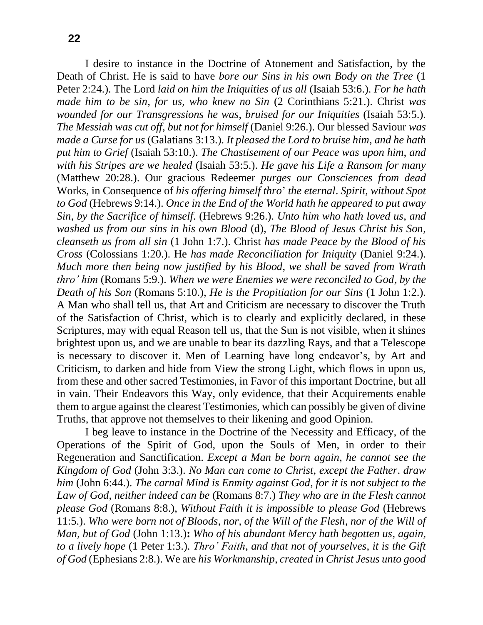I desire to instance in the Doctrine of Atonement and Satisfaction, by the Death of Christ. He is said to have *bore our Sins in his own Body on the Tree* (1 Peter 2:24.). The Lord *laid on him the Iniquities of us all* (Isaiah 53:6.). *For he hath made him to be sin*, *for us*, *who knew no Sin* (2 Corinthians 5:21.). Christ *was wounded for our Transgressions he was*, *bruised for our Iniquities* (Isaiah 53:5.). *The Messiah was cut off*, *but not for himself* (Daniel 9:26.). Our blessed Saviour *was made a Curse for us* (Galatians 3:13.). *It pleased the Lord to bruise him*, *and he hath put him to Grief* (Isaiah 53:10.). *The Chastisement of our Peace was upon him*, *and with his Stripes are we healed* (Isaiah 53:5.). *He gave his Life a Ransom for many* (Matthew 20:28.). Our gracious Redeemer *purges our Consciences from dead*  Works, in Consequence of *his offering himself thro*' *the eternal*. *Spirit*, *without Spot to God* (Hebrews 9:14.). *Once in the End of the World hath he appeared to put away Sin*, *by the Sacrifice of himself*. (Hebrews 9:26.). *Unto him who hath loved us*, *and washed us from our sins in his own Blood* (d), *The Blood of Jesus Christ his Son*, *cleanseth us from all sin* (1 John 1:7.). Christ *has made Peace by the Blood of his Cross* (Colossians 1:20.). He *has made Reconciliation for Iniquity* (Daniel 9:24.). *Much more then being now justified by his Blood*, *we shall be saved from Wrath thro' him* (Romans 5:9.). *When we were Enemies we were reconciled to God*, *by the Death of his Son* (Romans 5:10.), *He is the Propitiation for our Sins* (1 John 1:2.). A Man who shall tell us, that Art and Criticism are necessary to discover the Truth of the Satisfaction of Christ, which is to clearly and explicitly declared, in these Scriptures, may with equal Reason tell us, that the Sun is not visible, when it shines brightest upon us, and we are unable to bear its dazzling Rays, and that a Telescope is necessary to discover it. Men of Learning have long endeavor's, by Art and Criticism, to darken and hide from View the strong Light, which flows in upon us, from these and other sacred Testimonies, in Favor of this important Doctrine, but all in vain. Their Endeavors this Way, only evidence, that their Acquirements enable them to argue against the clearest Testimonies, which can possibly be given of divine Truths, that approve not themselves to their likening and good Opinion.

I beg leave to instance in the Doctrine of the Necessity and Efficacy, of the Operations of the Spirit of God, upon the Souls of Men, in order to their Regeneration and Sanctification. *Except a Man be born again*, *he cannot see the Kingdom of God* (John 3:3.). *No Man can come to Christ*, *except the Father*. *draw him* (John 6:44.). *The carnal Mind is Enmity against God*, *for it is not subject to the Law of God*, *neither indeed can be* (Romans 8:7.) *They who are in the Flesh cannot please God* (Romans 8:8.), *Without Faith it is impossible to please God* (Hebrews 11:5.). *Who were born not of Bloods*, *nor*, *of the Will of the Flesh*, *nor of the Will of Man*, *but of God* (John 1:13.)**:** *Who of his abundant Mercy hath begotten us*, *again*, *to a lively hope* (1 Peter 1:3.). *Thro' Faith*, *and that not of yourselves*, *it is the Gift of God* (Ephesians 2:8.). We are *his Workmanship*, *created in Christ Jesus unto good*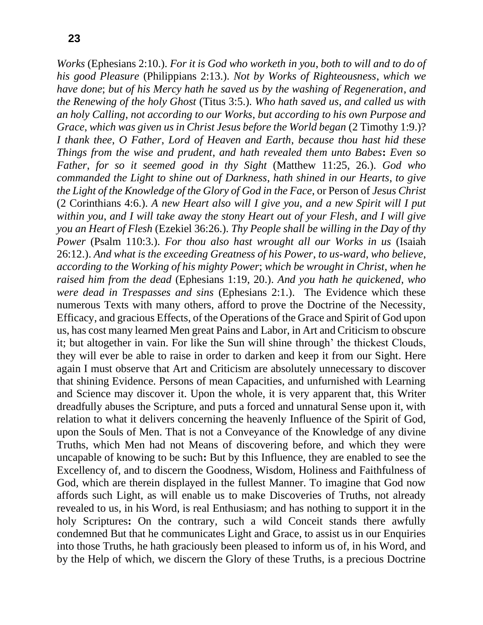*Works* (Ephesians 2:10.). *For it is God who worketh in you*, *both to will and to do of his good Pleasure* (Philippians 2:13.). *Not by Works of Righteousness*, *which we have done*; *but of his Mercy hath he saved us by the washing of Regeneration*, *and the Renewing of the holy Ghost* (Titus 3:5.). *Who hath saved us*, *and called us with an holy Calling*, *not according to our Works*, *but according to his own Purpose and Grace, which was given us in Christ Jesus before the World began (2 Timothy 1:9.)? I thank thee*, *O Father*, *Lord of Heaven and Earth*, *because thou hast hid these Things from the wise and prudent*, *and hath revealed them unto Babes***:** *Even so Father*, *for so it seemed good in thy Sight* (Matthew 11:25, 26.). *God who commanded the Light to shine out of Darkness*, *hath shined in our Hearts*, *to give the Light of the Knowledge of the Glory of God in the Face*, or Person of *Jesus Christ*  (2 Corinthians 4:6.). *A new Heart also will I give you*, *and a new Spirit will I put within you*, *and I will take away the stony Heart out of your Flesh*, *and I will give you an Heart of Flesh* (Ezekiel 36:26.). *Thy People shall be willing in the Day of thy Power* (Psalm 110:3.). *For thou also hast wrought all our Works in us* (Isaiah 26:12.). *And what is the exceeding Greatness of his Power*, *to us-ward*, *who believe*, *according to the Working of his mighty Power*; *which be wrought in Christ*, *when he raised him from the dead* (Ephesians 1:19, 20.). *And you hath he quickened*, *who were dead in Trespasses and sins* (Ephesians 2:1.). The Evidence which these numerous Texts with many others, afford to prove the Doctrine of the Necessity, Efficacy, and gracious Effects, of the Operations of the Grace and Spirit of God upon us, has cost many learned Men great Pains and Labor, in Art and Criticism to obscure it; but altogether in vain. For like the Sun will shine through' the thickest Clouds, they will ever be able to raise in order to darken and keep it from our Sight. Here again I must observe that Art and Criticism are absolutely unnecessary to discover that shining Evidence. Persons of mean Capacities, and unfurnished with Learning and Science may discover it. Upon the whole, it is very apparent that, this Writer dreadfully abuses the Scripture, and puts a forced and unnatural Sense upon it, with relation to what it delivers concerning the heavenly Influence of the Spirit of God, upon the Souls of Men. That is not a Conveyance of the Knowledge of any divine Truths, which Men had not Means of discovering before, and which they were uncapable of knowing to be such**:** But by this Influence, they are enabled to see the Excellency of, and to discern the Goodness, Wisdom, Holiness and Faithfulness of God, which are therein displayed in the fullest Manner. To imagine that God now affords such Light, as will enable us to make Discoveries of Truths, not already revealed to us, in his Word, is real Enthusiasm; and has nothing to support it in the holy Scriptures**:** On the contrary, such a wild Conceit stands there awfully condemned But that he communicates Light and Grace, to assist us in our Enquiries into those Truths, he hath graciously been pleased to inform us of, in his Word, and by the Help of which, we discern the Glory of these Truths, is a precious Doctrine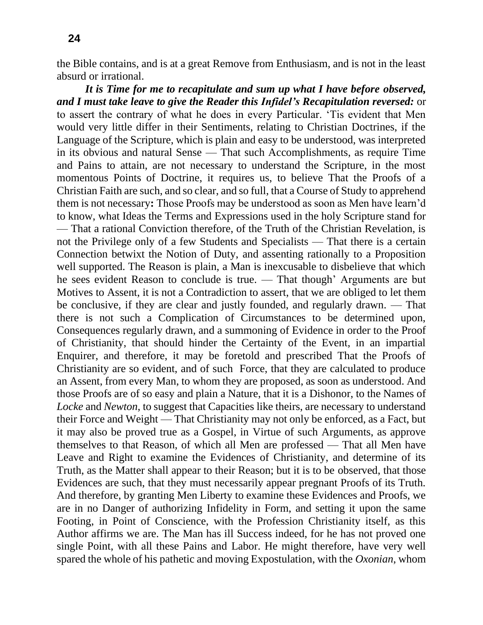the Bible contains, and is at a great Remove from Enthusiasm, and is not in the least absurd or irrational.

*It is Time for me to recapitulate and sum up what I have before observed, and I must take leave to give the Reader this Infidel's Recapitulation reversed:* or to assert the contrary of what he does in every Particular. 'Tis evident that Men would very little differ in their Sentiments, relating to Christian Doctrines, if the Language of the Scripture, which is plain and easy to be understood, was interpreted in its obvious and natural Sense — That such Accomplishments, as require Time and Pains to attain, are not necessary to understand the Scripture, in the most momentous Points of Doctrine, it requires us, to believe That the Proofs of a Christian Faith are such, and so clear, and so full, that a Course of Study to apprehend them is not necessary**:** Those Proofs may be understood as soon as Men have learn'd to know, what Ideas the Terms and Expressions used in the holy Scripture stand for — That a rational Conviction therefore, of the Truth of the Christian Revelation, is not the Privilege only of a few Students and Specialists — That there is a certain Connection betwixt the Notion of Duty, and assenting rationally to a Proposition well supported. The Reason is plain, a Man is inexcusable to disbelieve that which he sees evident Reason to conclude is true. — That though' Arguments are but Motives to Assent, it is not a Contradiction to assert, that we are obliged to let them be conclusive, if they are clear and justly founded, and regularly drawn. — That there is not such a Complication of Circumstances to be determined upon, Consequences regularly drawn, and a summoning of Evidence in order to the Proof of Christianity, that should hinder the Certainty of the Event, in an impartial Enquirer, and therefore, it may be foretold and prescribed That the Proofs of Christianity are so evident, and of such Force, that they are calculated to produce an Assent, from every Man, to whom they are proposed, as soon as understood. And those Proofs are of so easy and plain a Nature, that it is a Dishonor, to the Names of *Locke* and *Newton*, to suggest that Capacities like theirs, are necessary to understand their Force and Weight — That Christianity may not only be enforced, as a Fact, but it may also be proved true as a Gospel, in Virtue of such Arguments, as approve themselves to that Reason, of which all Men are professed — That all Men have Leave and Right to examine the Evidences of Christianity, and determine of its Truth, as the Matter shall appear to their Reason; but it is to be observed, that those Evidences are such, that they must necessarily appear pregnant Proofs of its Truth. And therefore, by granting Men Liberty to examine these Evidences and Proofs, we are in no Danger of authorizing Infidelity in Form, and setting it upon the same Footing, in Point of Conscience, with the Profession Christianity itself, as this Author affirms we are. The Man has ill Success indeed, for he has not proved one single Point, with all these Pains and Labor. He might therefore, have very well spared the whole of his pathetic and moving Expostulation, with the *Oxonian*, whom